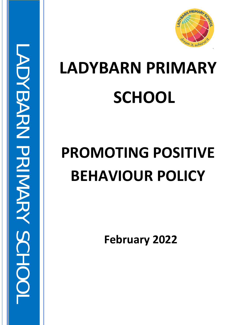

# **LADYBARN PRIMARY SCHOOL**

# **PROMOTING POSITIVE BEHAVIOUR POLICY**

LADYBARN PRIMARY SCHOOL

**ADNBARN PRIMARY SCHOC** 

**February 2022**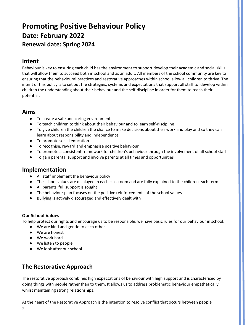# **Promoting Positive Behaviour Policy Date: February 2022 Renewal date: Spring 2024**

## **Intent**

 $\sim 10^6$ 

Behaviour is key to ensuring each child has the environment to support develop their academic and social skills that will allow them to succeed both in school and as an adult. All members of the school community are key to ensuring that the behavioural practices and restorative approaches within school allow all children to thrive. The intent of this policy is to set out the strategies, systems and expectations that support all staff to develop within children the understanding about their behaviour and the self-discipline in order for them to reach their potential.

# **Aims**

- To create a safe and caring environment
- To teach children to think about their behaviour and to learn self-discipline
- To give children the children the chance to make decisions about their work and play and so they can learn about responsibility and independence
- To promote social education
- To recognise, reward and emphasise positive behaviour
- To promote a consistent framework for children's behaviour through the involvement of all school staff
- To gain parental support and involve parents at all times and opportunities

## **Implementation**

- All staff implement the behaviour policy
- The school values are displayed in each classroom and are fully explained to the children each term
- All parents' full support is sought
- The behaviour plan focuses on the positive reinforcements of the school values
- Bullying is actively discouraged and effectively dealt with

#### **Our School Values**

To help protect our rights and encourage us to be responsible, we have basic rules for our behaviour in school.

- We are kind and gentle to each other
- We are honest
- We work hard
- We listen to people
- We look after our school

# **The Restorative Approach**

The restorative approach combines high expectations of behaviour with high support and is characterised by doing things with people rather than to them. It allows us to address problematic behaviour empathetically whilst maintaining strong relationships.

At the heart of the Restorative Approach is the intention to resolve conflict that occurs between people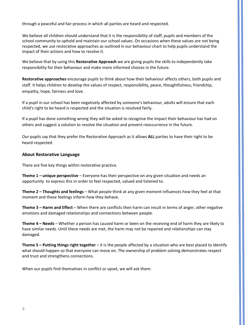through a peaceful and fair process in which all parties are heard and respected.

We believe all children should understand that it is the responsibility of staff, pupils and members of the school community to uphold and maintain our school values. On occasions when these values are not being respected, we use restorative approaches as outlined in our behaviour chart to help pupils understand the impact of their actions and how to resolve it.

We believe that by using this **Restorative Approach** we are giving pupils the skills to independently take responsibility for their behaviour and make more informed choices in the future.

**Restorative approaches** encourage pupils to think about how their behaviour affects others, both pupils and staff. It helps children to develop the values of respect, responsibility, peace, thoughtfulness, friendship, empathy, hope, fairness and love.

If a pupil in our school has been negatively affected by someone's behaviour, adults will ensure that each child's right to be heard is respected and the situation is resolved fairly.

If a pupil has done something wrong they will be asked to recognise the impact their behaviour has had on others and suggest a solution to resolve the situation and prevent reoccurrence in the future.

Our pupils say that they prefer the Restorative Approach as it allows **ALL** parties to have their right to be heard respected.

#### **About Restorative Language**

 $\sim 10^6$ 

There are five key things within restorative practice.

**Theme 1 – unique perspective** – Everyone has their perspective on any given situation and needs an opportunity to express this in order to feel respected, valued and listened to.

**Theme 2 – Thoughts and feelings** – What people think at any given moment influences how they feel at that moment and these feelings inform how they behave.

**Theme 3 – Harm and Effect** – When there are conflicts then harm can result in terms of anger, other negative emotions and damaged relationships and connections between people.

**Theme 4 – Needs** – Whether a person has caused harm or been on the receiving end of harm they are likely to have similar needs. Until these needs are met, the harm may not be repaired and relationships can stay damaged.

**Theme 5 – Putting things right together** – it is the people affected by a situation who are best placed to identify what should happen so that everyone can move on. The ownership of problem solving demonstrates respect and trust and strengthens connections.

When our pupils find themselves in conflict or upset, we will ask them: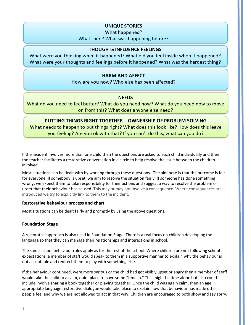#### **UNIQUE STORIES**

What happened?

What then? What was happening before?

#### **THOUGHTS INFLUENCE FEELINGS**

What were you thinking when it happened? What did you feel inside when it happened? What were your thoughts and feelings before it happened? What was the hardest thing?

#### **HARM AND AFFECT**

How are you now? Who else has been affected?

#### **NEEDS**

What do you need to feel better? What do you need now? What do you need now to move on from this? What does anyone else need?

#### **PUTTING THINGS RIGHT TOGETHER - OWNERSHIP OF PROBLEM SOLVING**

What needs to happen to put things right? What does this look like? How does this leave you feeling? Are you ok with that? If you can't do this, what can you do?

If the incident involves more than one child then the questions are asked to each child individually and then the teacher facilitates a restorative conversation in a circle to help resolve the issue between the children involved.

Most situations can be dealt with by working through these questions. The aim here is that the outcome is fair for everyone. If somebody is upset, we aim to resolve the situation fairly. If someone has done something wrong, we expect them to take responsibility for their actions and suggest a way to resolve the problem or upset that their behaviour has caused. This may or may not involve a consequence. Where consequences are introduced we try to explicitly link to them to the incident.

#### **Restorative behaviour process and chart**

Most situations can be dealt fairly and promptly by using the above questions.

#### **Foundation Stage**

 $\sim 10^6$ 

A restorative approach is also used in Foundation Stage. There is a real focus on children developing the language so that they can manage their relationships and interactions in school.

The same school behaviour rules apply as for the rest of the school. Where children are not following school expectations, a member of staff would speak to them in a supportive manner to explain why the behaviour is not acceptable and redirect them to play with something else.

If the behaviour continued, were more serious or the child had got visibly upset or angry then a member of staff would take the child to a calm, quiet place to have some "time in." This might be time alone but also could include involve sharing a book together or playing together. Once the child was again calm, then an age appropriate language restorative dialogue would take place to explain how that behaviour has made other people feel and why we are not allowed to act in that way. Children are encouraged to both show and say sorry.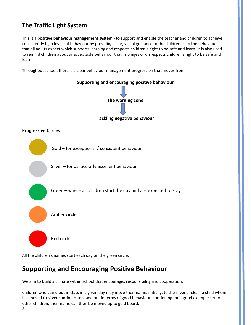# **The Traffic Light System**

 $\sim 10^6$ 

This is a **positive behaviour management system** - to support and enable the teacher and children to achieve consistently high levels of behaviour by providing clear, visual guidance to the children as to the behaviour that all adults expect which supports learning and respects children's right to be safe and learn. It is also used to remind children about unacceptable behaviour that impinges or disrespects children's right to be safe and learn.

Throughout school, there is a clear behaviour management progression that moves from



All the children's names start each day on the green circle.

# **Supporting and Encouraging Positive Behaviour**

We aim to build a climate within school that encourages responsibility and cooperation.

Children who stand out in class in a given day may move their name, initially, to the silver circle. If a child whom has moved to silver continues to stand out in terms of good behaviour, continuing their good example set to other children, their name can then be moved up to gold board.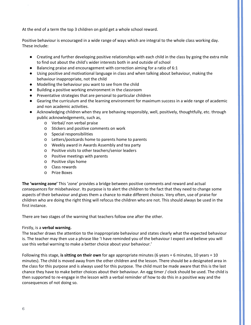At the end of a term the top 3 children on gold get a whole school reward.

Positive behaviour is encouraged in a wide range of ways which are integral to the whole class working day. These include:

- Creating and further developing positive relationships with each child in the class by going the extra mile to find out about the child's wider interests both in and outside of school
- Balancing praise and encouragement with correction aiming for a ratio of 6:1
- Using positive and motivational language in class and when talking about behaviour, making the behaviour inappropriate, not the child
- Modelling the behaviour you want to see from the child
- Building a positive working environment in the classroom
- Preventative strategies that are personal to particular children
- Gearing the curriculum and the learning environment for maximum success in a wide range of academic and non academic activities.
- Acknowledging children when they are behaving responsibly, well, positively, thoughtfully, etc. through public acknowledgements, such as,
	- o Verbal/ non verbal praise
	- o Stickers and positive comments on work
	- o Special responsibilities
	- o Letters/postcards home to parents home to parents
	- o Weekly award in Awards Assembly and tea party
	- o Positive visits to other teachers/senior leaders
	- o Positive meetings with parents
	- o Positive slips home
	- o Class rewards
	- o Prize Boxes

**The 'warning zone'** This 'zone' provides a bridge between positive comments and reward and actual *consequences* for misbehaviour. Its purpose is to alert the children to the fact that they need to change some aspects of their behaviour and gives them a chance to make different choices. Very often, use of praise for children who are doing the right thing will refocus the children who are not. This should always be used in the first instance.

There are two stages of the warning that teachers follow one after the other.

#### Firstly, is a **verbal warning.**

The teacher draws the attention to the inappropriate behaviour and states clearly what the expected behaviour is. The teacher may then use a phrase like 'I have reminded you of the behaviour I expect and believe you will use this verbal warning to make a better choice about your behaviour.'

Following this stage, **is sitting on their own** for age appropriate minutes (6 years = 6 minutes, 10 years = 10 minutes). The child is moved away from the other children and the lesson. There should be a designated area in the class for this purpose and is always used for this purpose. The child must be made aware that this is the last chance they have to make better choices about their behaviour. An egg timer / clock should be used. The child is then supported to re-engage in the lesson with a verbal reminder of how to do this in a positive way and the consequences of not doing so.

 $\sim 10^6$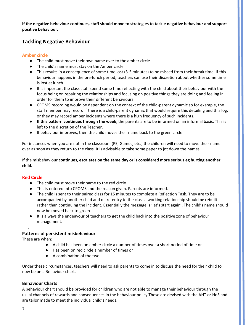**If the negative behaviour continues, staff should move to strategies to tackle negative behaviour and support positive behaviour.** 

#### **Tackling Negative Behaviour**

#### **Amber circle**

 $\sim 10^6$ 

- The child must move their own name over to the amber circle
- The child's name must stay on the Amber circle
- This results in a consequence of some time lost (3-5 minutes) to be missed from their break time. If this behaviour happens in the pre-lunch period, teachers can use their discretion about whether some time is lost at lunch.
- It is important the class staff spend some time reflecting with the child about their behaviour with the focus being on repairing the relationships and focusing on positive things they are doing and feeling in order for them to improve their different behaviours
- CPOMS recording would be dependent on the context of the child-parent dynamic so for example, the staff member may record if there is a child-parent dynamic that would require this detailing and this log, or they may record amber incidents where there is a high frequency of such incidents.
- **If this pattern continues through the week**, the parents are to be informed on an informal basis. This is left to the discretion of the Teacher.
- If behaviour improves, then the child moves their name back to the green circle.

For instances when you are not in the classroom (PE, Games, etc.) the children will need to move their name over as soon as they return to the class. It is advisable to take some paper to jot down the names.

If the misbehaviour **continues, escalates on the same day or is considered more serious eg hurting another child.** 

#### **Red Circle**

- The child must move their name to the red circle
- This is entered into CPOMS and the reason given. Parents are informed.
- The child is sent to their paired class for 15 minutes to complete a Reflection Task. They are to be accompanied by another child and on re-entry to the class a working relationship should be rebuilt rather than continuing the incident. Essentially the message is 'let's start again'. The child's name should now be moved back to green
- It is always the endeavour of teachers to get the child back into the positive zone of behaviour management.

#### **Patterns of persistent misbehaviour**

These are when:

.

- A child has been on amber circle a number of times over a short period of time or
- Has been on red circle a number of times or
- A combination of the two

Under these circumstances, teachers will need to ask parents to come in to discuss the need for their child to now be on a Behaviour chart.

#### **Behaviour Charts**

A behaviour chart should be provided for children who are not able to manage their behaviour through the usual channels of rewards and consequences in the behaviour policy These are devised with the AHT or HoS and are tailor made to meet the individual child's needs.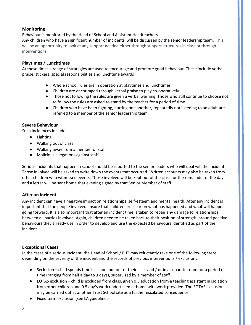#### **Monitoring**

 $\sim 10^6$ 

Behaviour is monitored by the Head of School and Assistant Headteachers.

Any children who have a significant number of incidents will be discussed by the senior leadership team. This will be an opportunity to look at any support needed either through support structures in class or through interventions.

#### **Playtimes / Lunchtimes**

At these times a range of strategies are used to encourage and promote good behaviour. These include verbal praise, stickers, special responsibilities and lunchtime awards

- Whole school rules are in operation at playtimes and lunchtimes
- Children are encouraged through verbal praise to play co-operatively.
- Those not following the rules are given a verbal warning. Those who still continue to choose not to follow the rules are asked to stand by the teacher for a period of time.
- Children who have been fighting, hurting one another, repeatedly not listening to an adult are referred to a member of the senior leadership team.

#### **Severe Behaviour**

Such incidences include:

- Fighting
- Walking out of class
- Walking away from a member of staff
- Malicious allegations against staff

Serious incidents that happen in school should be reported to the senior leaders who will deal will the incident. Those involved will be asked to write down the events that occurred. Written accounts may also be taken from other children who witnessed events. Those involved will be kept out of the class for the remainder of the day and a letter will be sent home that evening signed by that Senior Member of staff.

#### **After an incident**

Any incident can have a negative impact on relationships, self-esteem and mental health. After any incident is important that the people involved ensure that children are clear on what has happened and what will happen going forward. It is also important that after an incident time is taken to repair any damage to relationships between all parties involved. Again, children need to be taken back to their position of strength, around positive behaviours they already use in order to develop and use the expected behaviours identified as part of the incident.

#### **Exceptional Cases**

In the cases of a serious incident, the Head of School / EHT may reluctantly take one of the following steps, depending on the severity of the incident and the records of previous interventions / exclusions:

- Seclusion child spends time in school but out of their class and / or in a separate room for a period of time (ranging from half a day to 3 days), supervised by a member of staff
- EOTAS exclusion child is excluded from class, given 0.5 education from a teaching assistant in isolation from other children and 0.5 day's work undertaken at home with work provided. The EOTAS exclusion may be carried out at another Trust School site as a further escalated consequence.
- Fixed term exclusion (see LA guidelines)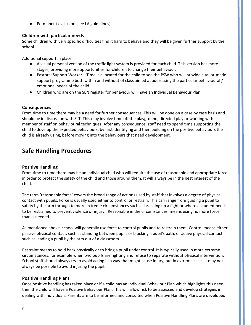● Permanent exclusion (see LA guidelines)

#### **Children with particular needs**

Some children with very specific difficulties find it hard to behave and they will be given further support by the school.

Additional support in place:

- A visual personal version of the traffic light system is provided for each child. This version has more stages, providing more opportunities for children to change their behaviour.
- Pastoral Support Worker Time is allocated for the child to see the PSW who will provide a tailor-made support programme both within and without of class aimed at addressing the particular behavioural / emotional needs of the child.
- Children who are on the SEN register for behaviour will have an Individual Behaviour Plan

#### **Consequences**

 $\sim 10^6$ 

From time to time there may be a need for further consequences. This will be done on a case by case basis and should be in discussion with SLT. This may involve time off the playground, directed play or working with a member of staff on behavioural techniques. After any consequence, staff need to spend time supporting the child to develop the expected behaviours, by first identifying and then building on the positive behaviours the child is already using, before moving into the behaviours that need development.

# **Safe Handling Procedures**

#### **Positive Handling**

From time to time there may be an individual child who will require the use of reasonable and appropriate force in order to protect the safety of the child and those around them. It will always be in the best interest of the child.

The term 'reasonable force' covers the broad range of actions used by staff that involves a degree of physical contact with pupils. Force is usually used either to control or restrain. This can range from guiding a pupil to safety by the arm through to more extreme circumstances such as breaking up a fight or where a student needs to be restrained to prevent violence or injury. 'Reasonable in the circumstances' means using no more force than is needed.

As mentioned above, school will generally use force to control pupils and to restrain them. Control means either passive physical contact, such as standing between pupils or blocking a pupil's path, or active physical contact such as leading a pupil by the arm out of a classroom.

Restraint means to hold back physically or to bring a pupil under control. It is typically used in more extreme circumstances, for example when two pupils are fighting and refuse to separate without physical intervention. School staff should always try to avoid acting in a way that might cause injury, but in extreme cases it may not always be possible to avoid injuring the pupil.

#### **Positive Handling Plans**

Once positive handling has taken place or if a child has an Individual Behaviour Plan which highlights this need, then the child will have a Positive Behaviour Plan. This will allow risk to be assessed and develop strategies in dealing with individuals. Parents are to be informed and consulted when Positive Handling Plans are developed.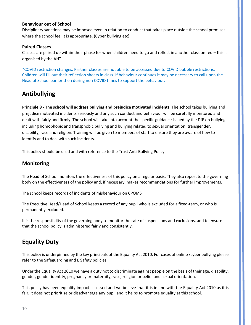#### **Behaviour out of School**

Disciplinary sanctions may be imposed even in relation to conduct that takes place outside the school premises where the school feel it is appropriate. (Cyber bullying etc).

#### **Paired Classes**

 $\sim 10^6$ 

Classes are paired up within their phase for when children need to go and reflect in another class on red – this is organised by the AHT

\*COVID restriction changes. Partner classes are not able to be accessed due to COVID bubble restrictions. Children will fill out their reflection sheets in class. If behaviour continues it may be necessary to call upon the Head of School earlier then during non COVID times to support the behaviour.

## **Antibullying**

**Principle 8 - The school will address bullying and prejudice motivated incidents.** The school takes bullying and prejudice motivated incidents seriously and any such conduct and behaviour will be carefully monitored and dealt with fairly and firmly. The school will take into account the specific guidance issued by the DfE on bullying including homophobic and transphobic bullying and bullying related to sexual orientation, transgender, disability, race and religion. Training will be given to members of staff to ensure they are aware of how to identify and to deal with such incidents.

This policy should be used and with reference to the Trust Anti-Bullying Policy.

#### **Monitoring**

The Head of School monitors the effectiveness of this policy on a regular basis. They also report to the governing body on the effectiveness of the policy and, if necessary, makes recommendations for further improvements.

The school keeps records of incidents of misbehaviour on CPOMS

The Executive Head/Head of School keeps a record of any pupil who is excluded for a fixed-term, or who is permanently excluded.

It is the responsibility of the governing body to monitor the rate of suspensions and exclusions, and to ensure that the school policy is administered fairly and consistently.

# **Equality Duty**

This policy is underpinned by the key principals of the Equality Act 2010. For cases of online /cyber bullying please refer to the Safeguarding and E Safety policies.

Under the Equality Act 2010 we have a duty not to discriminate against people on the basis of their age, disability, gender, gender identity, pregnancy or maternity, race, religion or belief and sexual orientation.

This policy has been equality impact assessed and we believe that it is in line with the Equality Act 2010 as it is fair, it does not prioritise or disadvantage any pupil and it helps to promote equality at this school.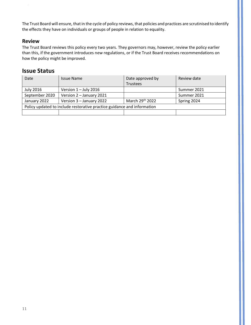The Trust Board will ensure, that in the cycle of policy reviews, that policies and practices are scrutinised to identify the effects they have on individuals or groups of people in relation to equality.

#### **Review**

 $\boldsymbol{\cdot}$ 

The Trust Board reviews this policy every two years. They governors may, however, review the policy earlier than this, if the government introduces new regulations, or if the Trust Board receives recommendations on how the policy might be improved.

### **Issue Status**

| Date                                                                    | <b>Issue Name</b>        | Date approved by | Review date |
|-------------------------------------------------------------------------|--------------------------|------------------|-------------|
|                                                                         |                          | <b>Trustees</b>  |             |
| <b>July 2016</b>                                                        | Version $1 -$ July 2016  |                  | Summer 2021 |
| September 2020                                                          | Version 2 - January 2021 |                  | Summer 2021 |
| January 2022                                                            | Version 3 - January 2022 | March 29th 2022  | Spring 2024 |
| Policy updated to include restorative practice guidance and information |                          |                  |             |
|                                                                         |                          |                  |             |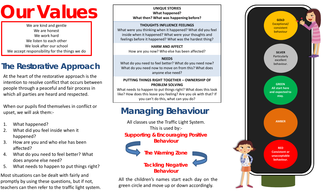# **Our Values**

We are kind and gentle We are honest We work hard We listen to each other We look after our school We accept responsibility for the things we do

# **The Restorative Approach**

At the heart of the restorative approach is the intention to resolve conflict that occurs between people through a peaceful and fair process in which all parties are heard and respected.

When our pupils find themselves in conflict or upset, we will ask them: -

- 1. What happened?
- 2. What did you feel inside when it happened?
- 3. How are you and who else has been affected?
- 4. What do you need to feel better? What does anyone else need?
- 5. What needs to happen to put things right?

Most situations can be dealt with fairly and promptly by using these questions, but if not, teachers can then refer to the traffic light system.

#### **UNIQUE STORIES What happened? What then? What was happening before?**

#### **THOUGHTS INFLUENCE FEELINGS**

What were you thinking when it happened? What did you feel inside when it happened? What were your thoughts and feelings before it happened? What was the hardest thing?

> **HARM AND AFFECT** How are you now? Who else has been affected?

#### **NEEDS**

What do you need to feel better? What do you need now? What do you need now to move on from this? What does anyone else need?

#### **PUTTING THINGS RIGHT TOGETHER – OWNERSHIP OF PROBLEM SOLVING**

What needs to happen to put things right? What does this look like? How does this leave you feeling? Are you ok with that? If you can't do this, what can you do?

# **Managing Behaviour**